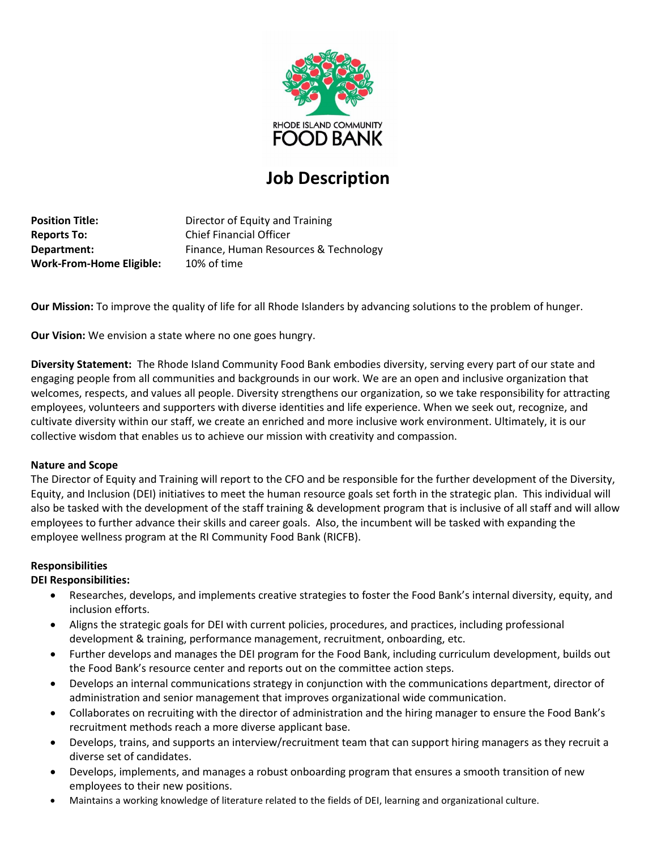

# **Job Description**

**Position Title:** Director of Equity and Training **Reports To:** Chief Financial Officer **Department:** Finance, Human Resources & Technology **Work-From-Home Eligible:** 10% of time

**Our Mission:** To improve the quality of life for all Rhode Islanders by advancing solutions to the problem of hunger.

**Our Vision:** We envision a state where no one goes hungry.

**Diversity Statement:** The Rhode Island Community Food Bank embodies diversity, serving every part of our state and engaging people from all communities and backgrounds in our work. We are an open and inclusive organization that welcomes, respects, and values all people. Diversity strengthens our organization, so we take responsibility for attracting employees, volunteers and supporters with diverse identities and life experience. When we seek out, recognize, and cultivate diversity within our staff, we create an enriched and more inclusive work environment. Ultimately, it is our collective wisdom that enables us to achieve our mission with creativity and compassion.

# **Nature and Scope**

The Director of Equity and Training will report to the CFO and be responsible for the further development of the Diversity, Equity, and Inclusion (DEI) initiatives to meet the human resource goals set forth in the strategic plan. This individual will also be tasked with the development of the staff training & development program that is inclusive of all staff and will allow employees to further advance their skills and career goals. Also, the incumbent will be tasked with expanding the employee wellness program at the RI Community Food Bank (RICFB).

# **Responsibilities**

# **DEI Responsibilities:**

- Researches, develops, and implements creative strategies to foster the Food Bank's internal diversity, equity, and inclusion efforts.
- Aligns the strategic goals for DEI with current policies, procedures, and practices, including professional development & training, performance management, recruitment, onboarding, etc.
- Further develops and manages the DEI program for the Food Bank, including curriculum development, builds out the Food Bank's resource center and reports out on the committee action steps.
- Develops an internal communications strategy in conjunction with the communications department, director of administration and senior management that improves organizational wide communication.
- Collaborates on recruiting with the director of administration and the hiring manager to ensure the Food Bank's recruitment methods reach a more diverse applicant base.
- Develops, trains, and supports an interview/recruitment team that can support hiring managers as they recruit a diverse set of candidates.
- Develops, implements, and manages a robust onboarding program that ensures a smooth transition of new employees to their new positions.
- Maintains a working knowledge of literature related to the fields of DEI, learning and organizational culture.